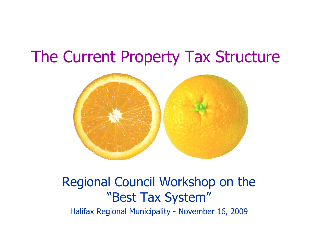### The Current Property Tax Structure



## Regional Council Workshop on the "Best Tax System"

Halifax Regional Municipality - November 16, 2009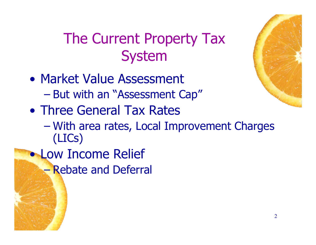### The Current Property Tax System

- Market Value Assessment – But with an "Assessment Cap"
- Three General Tax Rates
	- With area rates, Local Improvement Charges (LICs)
- Low Income Relief – Rebate and Deferral

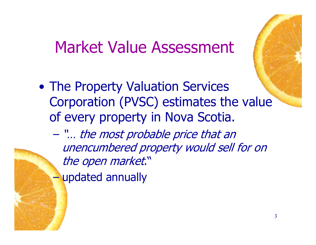#### Market Value Assessment

• The Property Valuation Services Corporation (PVSC) estimates the value of every property in Nova Scotia.

– "… the most probable price that an unencumbered property would sell for on the open market." – updated annually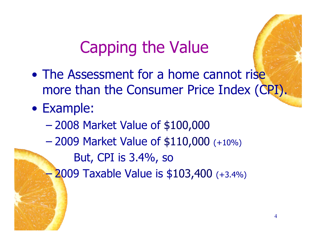# Capping the Value

- The Assessment for a home cannot rise more than the Consumer Price Index (CPI).
- Example:
	- 2008 Market Value of \$100,000
	- 2009 Market Value of \$110,000 (+10%)
		- But, CPI is 3.4%, so
	- 2009 Taxable Value is \$103,400 (+3.4%)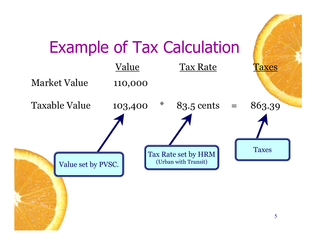# Example of Tax Calculation

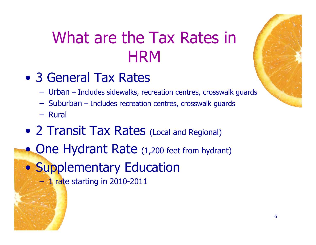# What are the Tax Rates in **HRM**

- 3 General Tax Rates
	- Urban Includes sidewalks, recreation centres, crosswalk guards
	- Suburban Includes recreation centres, crosswalk guards
	- Rural
- 2 Transit Tax Rates (Local and Regional)
- One Hydrant Rate (1,200 feet from hydrant)

• Supplementary Education

 $-1$  rate starting in 2010-2011

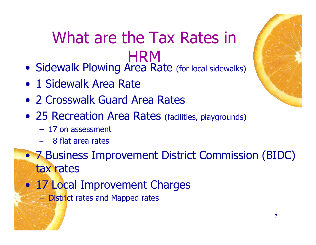## What are the Tax Rates in **HRM**

- Sidewalk Plowing Area Rate (for local sidewalks)
- 1 Sidewalk Area Rate
- 2 Crosswalk Guard Area Rates
- 25 Recreation Area Rates (facilities, playgrounds)
	- 17 on assessment
	- 8 flat area rates
- 7 Business Improvement District Commission (BIDC) tax rates
- 17 Local Improvement Charges
	- District rates and Mapped rates

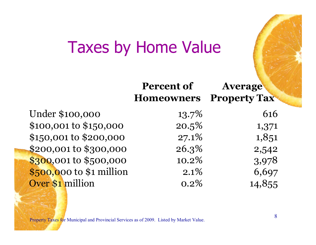### Taxes by Home Value

|                          | <b>Percent of</b><br><b>Homeowners</b> | <b>Average</b><br><b>Property Tax</b> |
|--------------------------|----------------------------------------|---------------------------------------|
| Under \$100,000          | $13.7\%$                               | 616                                   |
| \$100,001 to \$150,000   | 20.5%                                  | 1,371                                 |
| \$150,001 to \$200,000   | 27.1%                                  | 1,851                                 |
| \$200,001 to \$300,000   | 26.3%                                  | 2,542                                 |
| \$300,001 to \$500,000   | 10.2%                                  | 3,978                                 |
| \$500,000 to \$1 million | $2.1\%$                                | 6,697                                 |
| Over \$1 million         | 0.2%                                   | 14,855                                |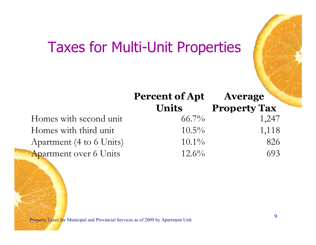#### Taxes for Multi-Unit Properties

|                               | <b>Percent of Apt</b> | <b>Average</b>      |
|-------------------------------|-----------------------|---------------------|
|                               | <b>Units</b>          | <b>Property Tax</b> |
| Homes with second unit        | $66.7\%$              | 1,247               |
| Homes with third unit         | $10.5\%$              | 1,118               |
| Apartment (4 to 6 Units)      | $10.1\%$              | 826                 |
| <b>Apartment over 6 Units</b> | $12.6\%$              | 693                 |

Property Taxes for Municipal and Provincial Services as of 2009 by Apartment Unit